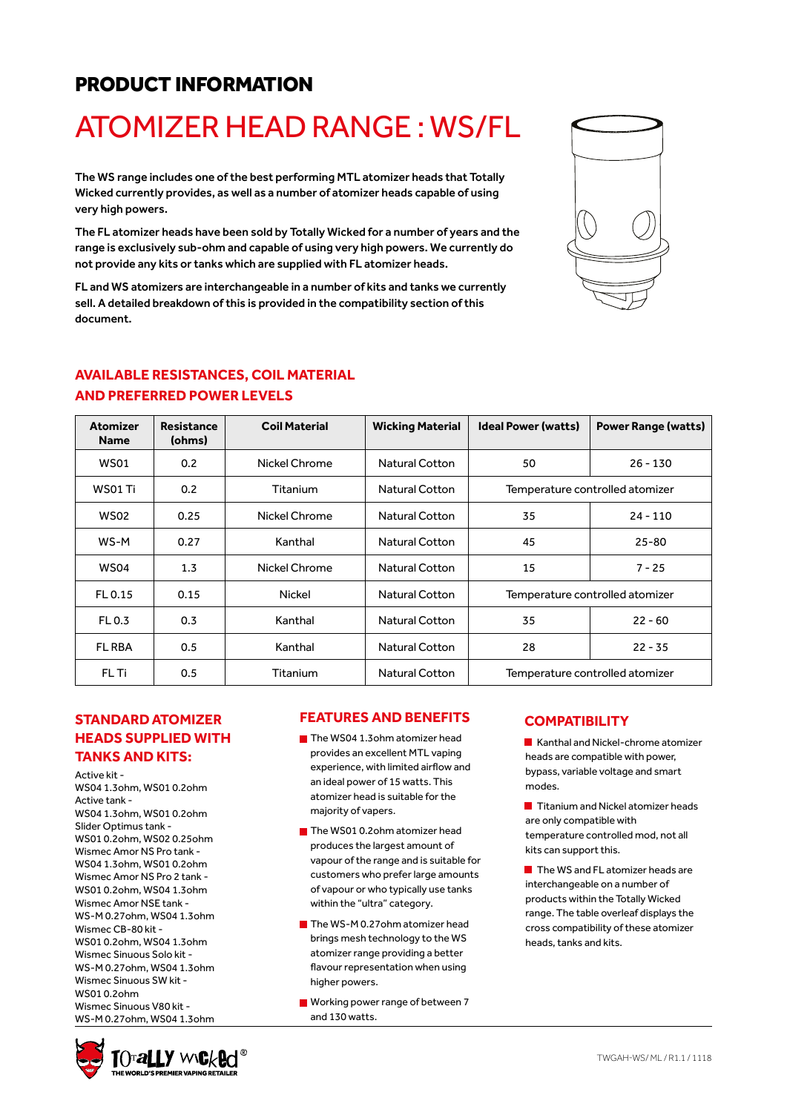### PRODUCT INFORMATION

# ATOMIZER HEAD RANGE : WS/FL

The WS range includes one of the best performing MTL atomizer heads that Totally Wicked currently provides, as well as a number of atomizer heads capable of using very high powers.

The FL atomizer heads have been sold by Totally Wicked for a number of years and the range is exclusively sub-ohm and capable of using very high powers. We currently do not provide any kits or tanks which are supplied with FL atomizer heads.

FL and WS atomizers are interchangeable in a number of kits and tanks we currently sell. A detailed breakdown of this is provided in the compatibility section of this document.



#### **AVAILABLE RESISTANCES, COIL MATERIAL AND PREFERRED POWER LEVELS**

| <b>Atomizer</b><br><b>Name</b> | <b>Resistance</b><br>(ohms) | <b>Coil Material</b> | <b>Wicking Material</b> | <b>Ideal Power (watts)</b>      | <b>Power Range (watts)</b> |  |
|--------------------------------|-----------------------------|----------------------|-------------------------|---------------------------------|----------------------------|--|
| <b>WS01</b>                    | 0.2                         | Nickel Chrome        | <b>Natural Cotton</b>   | 50                              | $26 - 130$                 |  |
| WS01 Ti                        | 0.2                         | Titanium             | Natural Cotton          | Temperature controlled atomizer |                            |  |
| WS02                           | 0.25                        | Nickel Chrome        | <b>Natural Cotton</b>   | 35                              | $24 - 110$                 |  |
| WS-M                           | 0.27                        | Kanthal              | Natural Cotton          | 45                              | $25 - 80$                  |  |
| WS04                           | 1.3                         | Nickel Chrome        | <b>Natural Cotton</b>   | 15                              | $7 - 25$                   |  |
| FL 0.15                        | 0.15                        | Nickel               | <b>Natural Cotton</b>   | Temperature controlled atomizer |                            |  |
| FL 0.3                         | 0.3                         | Kanthal              | <b>Natural Cotton</b>   | 35                              | $22 - 60$                  |  |
| <b>FL RBA</b>                  | 0.5                         | Kanthal              | <b>Natural Cotton</b>   | 28                              | $22 - 35$                  |  |
| FL Ti                          | 0.5                         | Titanium             | <b>Natural Cotton</b>   | Temperature controlled atomizer |                            |  |

#### **STANDARD ATOMIZER HEADS SUPPLIED WITH TANKS AND KITS:**

Active kit - WS04 1.3ohm, WS01 0.2ohm Active tank - WS04 1.3ohm, WS01 0.2ohm Slider Optimus tank - WS01 0.2ohm, WS02 0.25ohm Wismec Amor NS Pro tank - WS04 1.3ohm, WS01 0.2ohm Wismec Amor NS Pro 2 tank - WS01 0.2ohm, WS04 1.3ohm Wismec Amor NSE tank - WS-M 0.27ohm, WS04 1.3ohm Wismec CB-80 kit - WS01 0.2ohm, WS04 1.3ohm Wismec Sinuous Solo kit - WS-M 0.27ohm, WS04 1.3ohm Wismec Sinuous SW kit - WS01 0.2ohm Wismec Sinuous V80 kit - WS-M 0.27ohm, WS04 1.3ohm

#### **FEATURES AND BENEFITS**

- $\blacksquare$  The WS04 1.3ohm atomizer head provides an excellent MTL vaping experience, with limited airflow and an ideal power of 15 watts. This atomizer head is suitable for the majority of vapers.
- The WS01 0.2ohm atomizer head produces the largest amount of vapour of the range and is suitable for customers who prefer large amounts of vapour or who typically use tanks within the "ultra" category.
- The WS-M 0.27ohm atomizer head brings mesh technology to the WS atomizer range providing a better flavour representation when using higher powers.
- **Working power range of between 7** and 130 watts.

#### **COMPATIBILITY**

Kanthal and Nickel-chrome atomizer heads are compatible with power, bypass, variable voltage and smart modes.

**T** Titanium and Nickel atomizer heads are only compatible with temperature controlled mod, not all kits can support this.

The WS and FL atomizer heads are interchangeable on a number of products within the Totally Wicked range. The table overleaf displays the cross compatibility of these atomizer heads, tanks and kits.